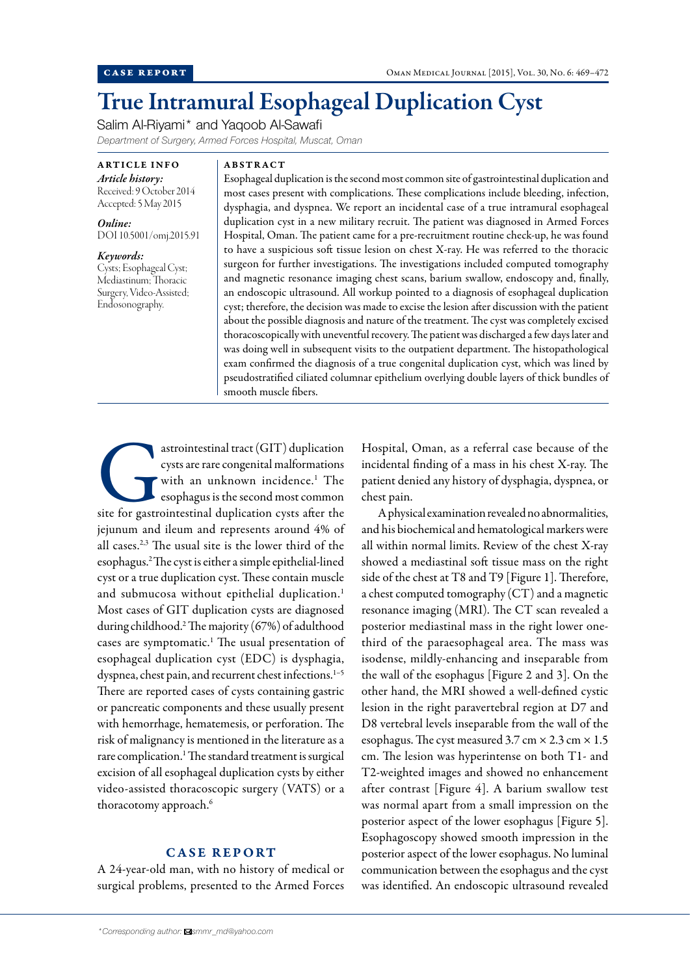# True Intramural Esophageal Duplication Cyst

Salim Al-Riyami\* and Yaqoob Al-Sawafi

*Department of Surgery, Armed Forces Hospital, Muscat, Oman*

ARTICLE INFO *Article history:*  Received: 9 October 2014 Accepted: 5 May 2015

*Online:* DOI 10.5001/omj.2015.91

*Keywords:*  Cysts; Esophageal Cyst; Mediastinum; Thoracic Surgery, Video-Assisted; Endosonography.

#### ABSTRACT

Esophageal duplication is the second most common site of gastrointestinal duplication and most cases present with complications. These complications include bleeding, infection, dysphagia, and dyspnea. We report an incidental case of a true intramural esophageal duplication cyst in a new military recruit. The patient was diagnosed in Armed Forces Hospital, Oman. The patient came for a pre-recruitment routine check-up, he was found to have a suspicious soft tissue lesion on chest X-ray. He was referred to the thoracic surgeon for further investigations. The investigations included computed tomography and magnetic resonance imaging chest scans, barium swallow, endoscopy and, finally, an endoscopic ultrasound. All workup pointed to a diagnosis of esophageal duplication cyst; therefore, the decision was made to excise the lesion after discussion with the patient about the possible diagnosis and nature of the treatment. The cyst was completely excised thoracoscopically with uneventful recovery. The patient was discharged a few days later and was doing well in subsequent visits to the outpatient department. The histopathological exam confirmed the diagnosis of a true congenital duplication cyst, which was lined by pseudostratified ciliated columnar epithelium overlying double layers of thick bundles of smooth muscle fibers.

astrointestinal tract (GIT) duplication<br>
cysts are rare congenital malformations<br>
with an unknown incidence.<sup>1</sup> The<br>
esophagus is the second most common<br>
site for gastrointestinal duplication cysts after the cysts are rare congenital malformations with an unknown incidence.<sup>1</sup> The esophagus is the second most common jejunum and ileum and represents around 4% of all cases.2,3 The usual site is the lower third of the esophagus.2 The cyst is either a simple epithelial-lined cyst or a true duplication cyst. These contain muscle and submucosa without epithelial duplication.<sup>1</sup> Most cases of GIT duplication cysts are diagnosed during childhood.2 The majority (67%) of adulthood cases are symptomatic.<sup>1</sup> The usual presentation of esophageal duplication cyst (EDC) is dysphagia, dyspnea, chest pain, and recurrent chest infections.<sup>1-5</sup> There are reported cases of cysts containing gastric or pancreatic components and these usually present with hemorrhage, hematemesis, or perforation. The risk of malignancy is mentioned in the literature as a rare complication.<sup>1</sup> The standard treatment is surgical excision of all esophageal duplication cysts by either video-assisted thoracoscopic surgery (VATS) or a thoracotomy approach.<sup>6</sup>

# CASE REPORT

A 24-year-old man, with no history of medical or surgical problems, presented to the Armed Forces

*\*Corresponding author: smmr\_md@yahoo.com*

Hospital, Oman, as a referral case because of the incidental finding of a mass in his chest X-ray. The patient denied any history of dysphagia, dyspnea, or chest pain.

A physical examination revealed no abnormalities, and his biochemical and hematological markers were all within normal limits. Review of the chest X-ray showed a mediastinal soft tissue mass on the right side of the chest at T8 and T9 [Figure 1]. Therefore, a chest computed tomography (CT) and a magnetic resonance imaging (MRI). The CT scan revealed a posterior mediastinal mass in the right lower onethird of the paraesophageal area. The mass was isodense, mildly-enhancing and inseparable from the wall of the esophagus [Figure 2 and 3]. On the other hand, the MRI showed a well-defined cystic lesion in the right paravertebral region at D7 and D8 vertebral levels inseparable from the wall of the esophagus. The cyst measured  $3.7 \text{ cm} \times 2.3 \text{ cm} \times 1.5$ cm. The lesion was hyperintense on both T1- and T2-weighted images and showed no enhancement after contrast [Figure 4]. A barium swallow test was normal apart from a small impression on the posterior aspect of the lower esophagus [Figure 5]. Esophagoscopy showed smooth impression in the posterior aspect of the lower esophagus. No luminal communication between the esophagus and the cyst was identified. An endoscopic ultrasound revealed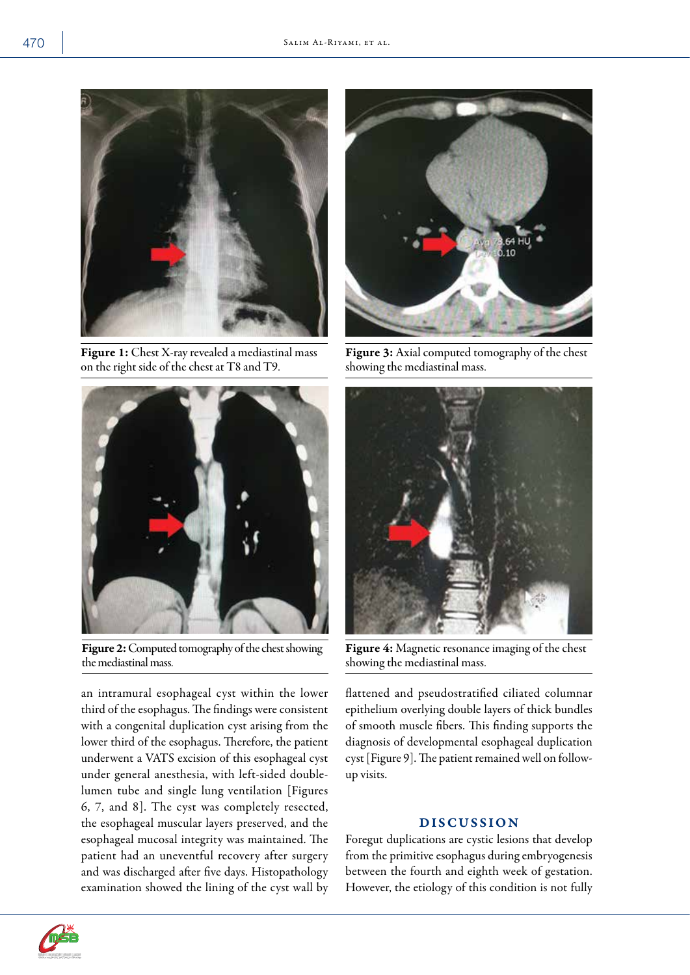

Figure 1: Chest X-ray revealed a mediastinal mass on the right side of the chest at T8 and T9.



Figure 2: Computed tomography of the chest showing the mediastinal mass.

an intramural esophageal cyst within the lower third of the esophagus. The findings were consistent with a congenital duplication cyst arising from the lower third of the esophagus. Therefore, the patient underwent a VATS excision of this esophageal cyst under general anesthesia, with left-sided doublelumen tube and single lung ventilation [Figures 6, 7, and 8]. The cyst was completely resected, the esophageal muscular layers preserved, and the esophageal mucosal integrity was maintained. The patient had an uneventful recovery after surgery and was discharged after five days. Histopathology examination showed the lining of the cyst wall by



Figure 3: Axial computed tomography of the chest showing the mediastinal mass.



Figure 4: Magnetic resonance imaging of the chest showing the mediastinal mass.

flattened and pseudostratified ciliated columnar epithelium overlying double layers of thick bundles of smooth muscle fibers. This finding supports the diagnosis of developmental esophageal duplication cyst [Figure 9]. The patient remained well on followup visits.

## DISCUSSION

Foregut duplications are cystic lesions that develop from the primitive esophagus during embryogenesis between the fourth and eighth week of gestation. However, the etiology of this condition is not fully

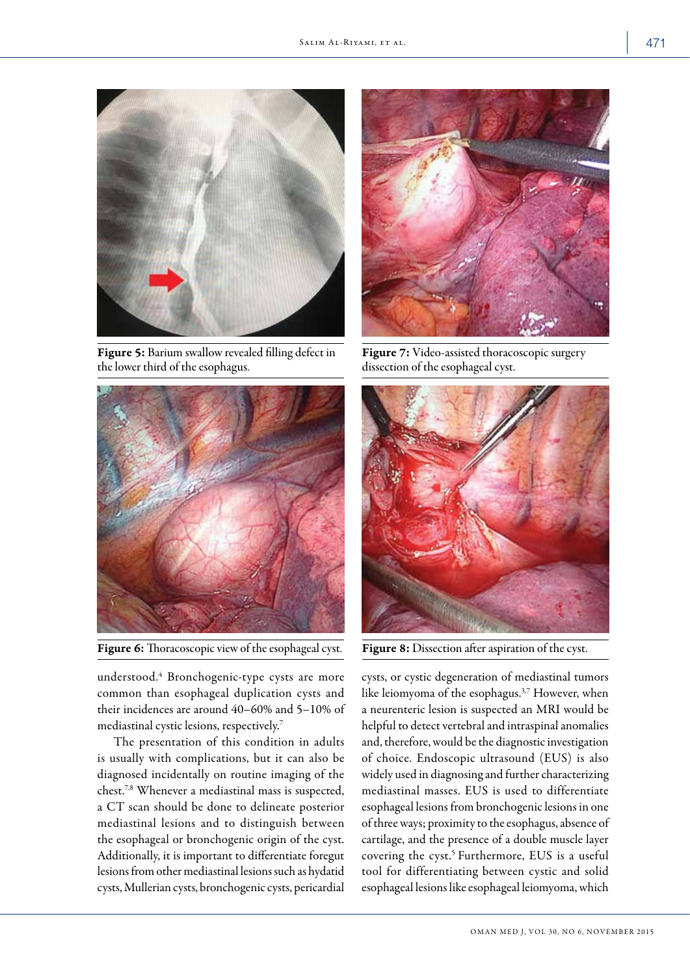

Figure 5: Barium swallow revealed filling defect in the lower third of the esophagus.



Figure 6: Thoracoscopic view of the esophageal cyst.

understood.4 Bronchogenic-type cysts are more common than esophageal duplication cysts and their incidences are around 40–60% and 5–10% of mediastinal cystic lesions, respectively.7

The presentation of this condition in adults is usually with complications, but it can also be diagnosed incidentally on routine imaging of the chest.7,8 Whenever a mediastinal mass is suspected, a CT scan should be done to delineate posterior mediastinal lesions and to distinguish between the esophageal or bronchogenic origin of the cyst. Additionally, it is important to differentiate foregut lesions from other mediastinal lesions such as hydatid cysts, Mullerian cysts, bronchogenic cysts, pericardial



Figure 7: Video-assisted thoracoscopic surgery dissection of the esophageal cyst.



Figure 8: Dissection after aspiration of the cyst.

cysts, or cystic degeneration of mediastinal tumors like leiomyoma of the esophagus.<sup>3,7</sup> However, when a neurenteric lesion is suspected an MRI would be helpful to detect vertebral and intraspinal anomalies and, therefore, would be the diagnostic investigation of choice. Endoscopic ultrasound (EUS) is also widely used in diagnosing and further characterizing mediastinal masses. EUS is used to differentiate esophageal lesions from bronchogenic lesions in one of three ways; proximity to the esophagus, absence of cartilage, and the presence of a double muscle layer covering the cyst.<sup>5</sup> Furthermore, EUS is a useful tool for differentiating between cystic and solid esophageal lesions like esophageal leiomyoma, which